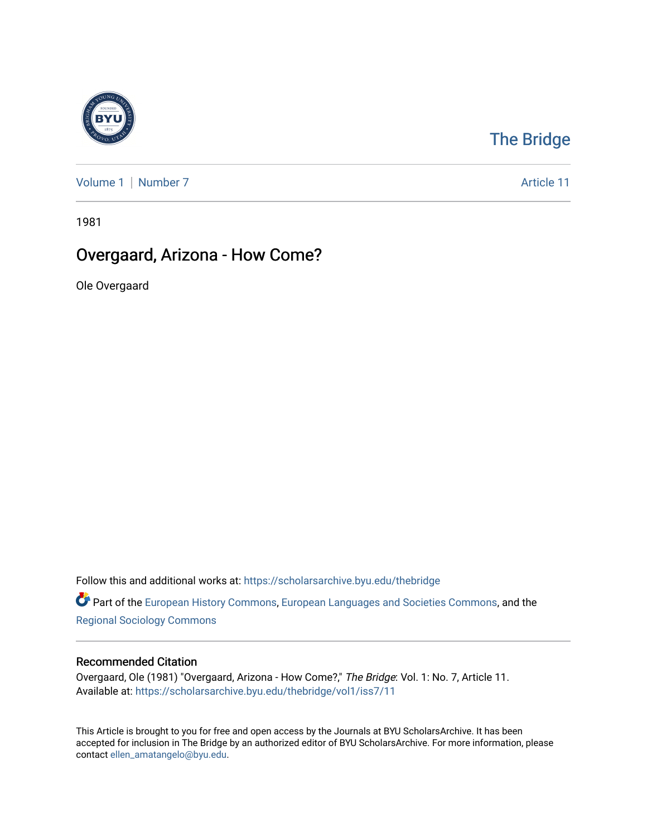

# [The Bridge](https://scholarsarchive.byu.edu/thebridge)

[Volume 1](https://scholarsarchive.byu.edu/thebridge/vol1) | [Number 7](https://scholarsarchive.byu.edu/thebridge/vol1/iss7) Article 11

1981

# Overgaard, Arizona - How Come?

Ole Overgaard

Follow this and additional works at: [https://scholarsarchive.byu.edu/thebridge](https://scholarsarchive.byu.edu/thebridge?utm_source=scholarsarchive.byu.edu%2Fthebridge%2Fvol1%2Fiss7%2F11&utm_medium=PDF&utm_campaign=PDFCoverPages) 

Part of the [European History Commons](http://network.bepress.com/hgg/discipline/492?utm_source=scholarsarchive.byu.edu%2Fthebridge%2Fvol1%2Fiss7%2F11&utm_medium=PDF&utm_campaign=PDFCoverPages), [European Languages and Societies Commons,](http://network.bepress.com/hgg/discipline/482?utm_source=scholarsarchive.byu.edu%2Fthebridge%2Fvol1%2Fiss7%2F11&utm_medium=PDF&utm_campaign=PDFCoverPages) and the [Regional Sociology Commons](http://network.bepress.com/hgg/discipline/427?utm_source=scholarsarchive.byu.edu%2Fthebridge%2Fvol1%2Fiss7%2F11&utm_medium=PDF&utm_campaign=PDFCoverPages) 

### Recommended Citation

Overgaard, Ole (1981) "Overgaard, Arizona - How Come?," The Bridge: Vol. 1: No. 7, Article 11. Available at: [https://scholarsarchive.byu.edu/thebridge/vol1/iss7/11](https://scholarsarchive.byu.edu/thebridge/vol1/iss7/11?utm_source=scholarsarchive.byu.edu%2Fthebridge%2Fvol1%2Fiss7%2F11&utm_medium=PDF&utm_campaign=PDFCoverPages) 

This Article is brought to you for free and open access by the Journals at BYU ScholarsArchive. It has been accepted for inclusion in The Bridge by an authorized editor of BYU ScholarsArchive. For more information, please contact [ellen\\_amatangelo@byu.edu.](mailto:ellen_amatangelo@byu.edu)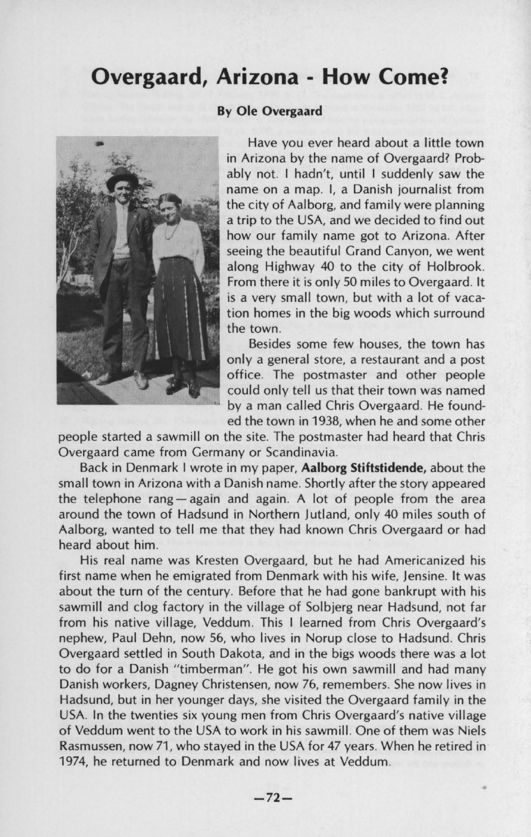## **Overgaard, Arizona - How Come?**



Have you ever heard about a little town in Arizona by the name of Overgaard? Probably not. I hadn't, until I suddenly saw the name on a map. I, a Danish journalist from the city of Aalborg, and family were planning a trip to the USA, and we decided to find out how our family name got to Arizona. After seeing the beautiful Grand Canyon, we went along Highway 40 to the city of Holbrook. From there it is only 50 miles to Overgaard. It is a very small town, but with a lot of vacation homes in the big woods which surround the town.

Besides some few houses, the town has only a general store, a restaurant and a post office. The postmaster and other people could only tell us that their town was named by a man called Chris Overgaard. He founded the town in 1938, when he and some other

people started a sawmill on the site. The postmaster had heard that Chris Overgaard came from Germany or Scandinavia.

Back in Denmark I wrote in my paper, **Aalborg Stiftstidende,** about the small town in Arizona with a Danish name. Shortly after the story appeared the telephone rang  $-\alpha$  again and again. A lot of people from the area around the town of Hadsund in Northern Jutland, only 40 miles south of Aalborg, wanted to tell me that they had known Chris Overgaard or had heard about him.

His real name was Kresten Overgaard, but he had Americanized his first name when he emigrated from Denmark with his wife, Jensine. It was about the turn of the century. Before that he had gone bankrupt with his sawmill and clog factory in the village of Solbjerg near Hadsund, not far from his native village, Veddum. This I learned from Chris Overgaard's nephew, Paul Dehn, now 56, who lives in Norup close to Hadsund. Chris Overgaard settled in South Dakota, and in the bigs woods there was a lot to do for a Danish "timberman". He got his own sawmill and had many Danish workers, Dagney Christensen, now 76, remembers. She now lives in Hadsund, but in her younger days, she visited the Overgaard family in the USA. In the twenties six young men from Chris Overgaard's native village of Veddum went to the USA to work in his sawmill. One of them was Niels Rasmussen, now 71 , who stayed in the USA for 47 years. When he retired in 1974, he returned to Denmark and now lives at Veddum.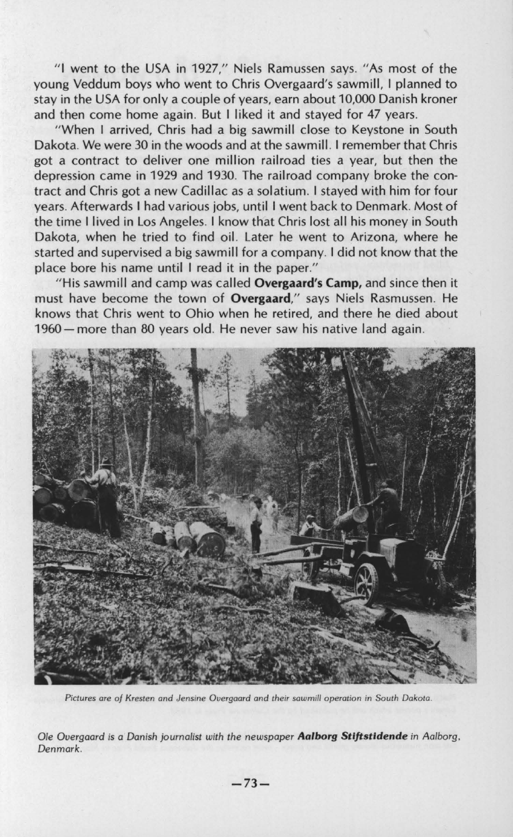"I went to the USA in 1927," Niels Ramussen says. " As most of the young Veddum boys who went to Chris Overgaard's sawmill, I planned to stay in the USA for only a couple of years, earn about 10,000 Danish kroner and then come home again. But I liked it and stayed for 47 years.

"When I arrived, Chris had a big sawmill close to Keystone in South Dakota. We were 30 in the woods and at the sawmill. I remember that Chris got a contract to deliver one million railroad ties a year, but then the depression came in 1929 and 1930. The railroad company broke the contract and Chris got a new Cadillac as a solatium. I stayed with him for four years. Afterwards I had various jobs, until I went back to Denmark. Most of the time I lived in Los Angeles. I know that Chris lost all his money in South Dakota, when he tried to find oil. Later he went to Arizona, where he started and supervised a big sawmill for a company. I did not know that the place bore his name until I read it in the paper."

" His sawmill and camp was called **Overgaard's Camp,** and since then it must have become the town of **Overgaard,"** says Niels Rasmussen. He knows that Chris went to Ohio when he retired, and there he died about 1960 - more than 80 years old. He never saw his native land again.



*Pictures are of Kresten and Jensine Overgaard* **and** *their sawmill* **operation in** *South Dakota.* 

*Ole Overgaard* is *a Danish journalist with the newspaper Aalborg Stlftstldende* in *Aalborg. Denmark.*